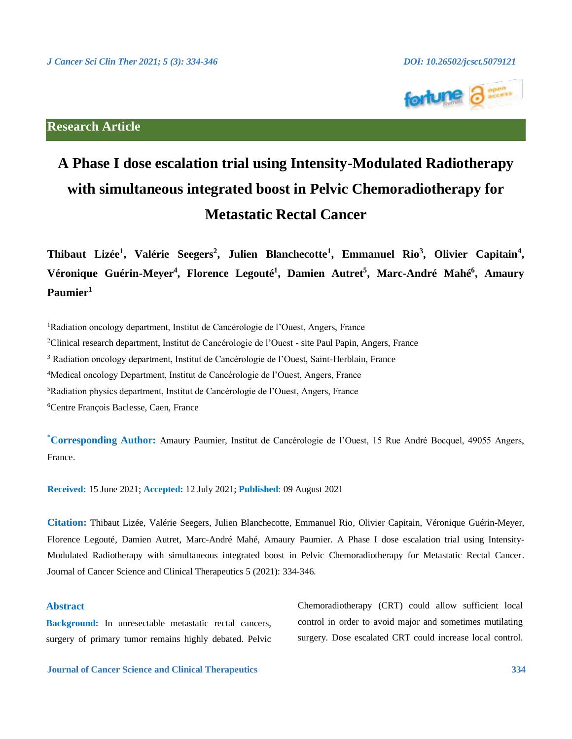

# **Research Article**

# **A Phase I dose escalation trial using Intensity-Modulated Radiotherapy with simultaneous integrated boost in Pelvic Chemoradiotherapy for Metastatic Rectal Cancer**

**Thibaut Lizée<sup>1</sup> , Valérie Seegers<sup>2</sup> , Julien Blanchecotte<sup>1</sup> , Emmanuel Rio<sup>3</sup> , Olivier Capitain<sup>4</sup> , Véronique Guérin-Meyer<sup>4</sup> , Florence Legouté<sup>1</sup> , Damien Autret<sup>5</sup> , Marc-André Mahé<sup>6</sup> , Amaury Paumier<sup>1</sup>**

<sup>1</sup>Radiation oncology department, Institut de Cancérologie de l'Ouest, Angers, France

<sup>2</sup>Clinical research department, Institut de Cancérologie de l'Ouest - site Paul Papin, Angers, France

<sup>3</sup> Radiation oncology department, Institut de Cancérologie de l'Ouest, Saint-Herblain, France

<sup>4</sup>Medical oncology Department, Institut de Cancérologie de l'Ouest, Angers, France

<sup>5</sup>Radiation physics department, Institut de Cancérologie de l'Ouest, Angers, France

<sup>6</sup>Centre François Baclesse, Caen, France

**\*Corresponding Author:** Amaury Paumier, Institut de Cancérologie de l'Ouest, 15 Rue André Bocquel, 49055 Angers, France.

**Received:** 15 June 2021; **Accepted:** 12 July 2021; **Published**: 09 August 2021

**Citation:** Thibaut Lizée, Valérie Seegers, Julien Blanchecotte, Emmanuel Rio, Olivier Capitain, Véronique Guérin-Meyer, Florence Legouté, Damien Autret, Marc-André Mahé, Amaury Paumier. A Phase I dose escalation trial using Intensity-Modulated Radiotherapy with simultaneous integrated boost in Pelvic Chemoradiotherapy for Metastatic Rectal Cancer. Journal of Cancer Science and Clinical Therapeutics 5 (2021): 334-346.

# **Abstract**

**Background:** In unresectable metastatic rectal cancers, surgery of primary tumor remains highly debated. Pelvic Chemoradiotherapy (CRT) could allow sufficient local control in order to avoid major and sometimes mutilating surgery. Dose escalated CRT could increase local control.

**Journal of Cancer Science and Clinical Therapeutics 334**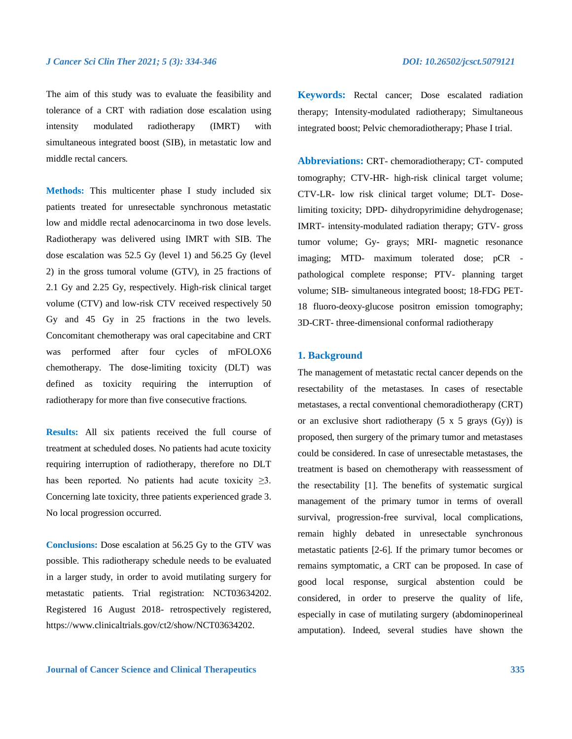The aim of this study was to evaluate the feasibility and tolerance of a CRT with radiation dose escalation using intensity modulated radiotherapy (IMRT) with simultaneous integrated boost (SIB), in metastatic low and middle rectal cancers.

**Methods:** This multicenter phase I study included six patients treated for unresectable synchronous metastatic low and middle rectal adenocarcinoma in two dose levels. Radiotherapy was delivered using IMRT with SIB. The dose escalation was 52.5 Gy (level 1) and 56.25 Gy (level 2) in the gross tumoral volume (GTV), in 25 fractions of 2.1 Gy and 2.25 Gy, respectively. High-risk clinical target volume (CTV) and low-risk CTV received respectively 50 Gy and 45 Gy in 25 fractions in the two levels. Concomitant chemotherapy was oral capecitabine and CRT was performed after four cycles of mFOLOX6 chemotherapy. The dose-limiting toxicity (DLT) was defined as toxicity requiring the interruption of radiotherapy for more than five consecutive fractions.

**Results:** All six patients received the full course of treatment at scheduled doses. No patients had acute toxicity requiring interruption of radiotherapy, therefore no DLT has been reported. No patients had acute toxicity  $\geq 3$ . Concerning late toxicity, three patients experienced grade 3. No local progression occurred.

**Conclusions:** Dose escalation at 56.25 Gy to the GTV was possible. This radiotherapy schedule needs to be evaluated in a larger study, in order to avoid mutilating surgery for metastatic patients. Trial registration: NCT03634202. Registered 16 August 2018- retrospectively registered, https://www.clinicaltrials.gov/ct2/show/NCT03634202.

**Keywords:** Rectal cancer; Dose escalated radiation therapy; Intensity-modulated radiotherapy; Simultaneous integrated boost; Pelvic chemoradiotherapy; Phase I trial.

**Abbreviations:** CRT- chemoradiotherapy; CT- computed tomography; CTV-HR- high-risk clinical target volume; CTV-LR- low risk clinical target volume; DLT- Doselimiting toxicity; DPD- dihydropyrimidine dehydrogenase; IMRT- intensity-modulated radiation therapy; GTV- gross tumor volume; Gy- grays; MRI- magnetic resonance imaging; MTD- maximum tolerated dose; pCR pathological complete response; PTV- planning target volume; SIB- simultaneous integrated boost; 18-FDG PET-18 fluoro-deoxy-glucose positron emission tomography; 3D-CRT- three-dimensional conformal radiotherapy

# **1. Background**

The management of metastatic rectal cancer depends on the resectability of the metastases. In cases of resectable metastases, a rectal conventional chemoradiotherapy (CRT) or an exclusive short radiotherapy  $(5 \times 5 \text{ grays } (Gy))$  is proposed, then surgery of the primary tumor and metastases could be considered. In case of unresectable metastases, the treatment is based on chemotherapy with reassessment of the resectability [1]. The benefits of systematic surgical management of the primary tumor in terms of overall survival, progression-free survival, local complications, remain highly debated in unresectable synchronous metastatic patients [2-6]. If the primary tumor becomes or remains symptomatic, a CRT can be proposed. In case of good local response, surgical abstention could be considered, in order to preserve the quality of life, especially in case of mutilating surgery (abdominoperineal amputation). Indeed, several studies have shown the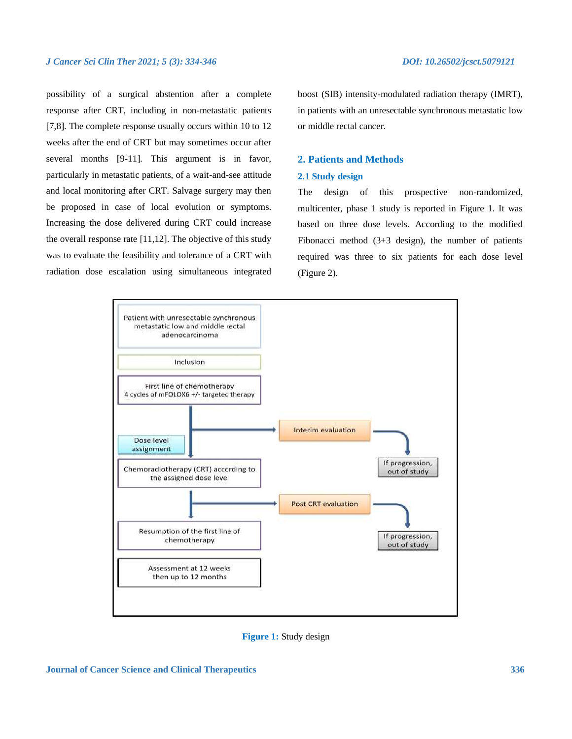possibility of a surgical abstention after a complete response after CRT, including in non-metastatic patients [7,8]. The complete response usually occurs within 10 to 12 weeks after the end of CRT but may sometimes occur after several months [9-11]. This argument is in favor, particularly in metastatic patients, of a wait-and-see attitude and local monitoring after CRT. Salvage surgery may then be proposed in case of local evolution or symptoms. Increasing the dose delivered during CRT could increase the overall response rate [11,12]. The objective of this study was to evaluate the feasibility and tolerance of a CRT with radiation dose escalation using simultaneous integrated

boost (SIB) intensity-modulated radiation therapy (IMRT), in patients with an unresectable synchronous metastatic low or middle rectal cancer.

# **2. Patients and Methods**

### **2.1 Study design**

The design of this prospective non-randomized, multicenter, phase 1 study is reported in Figure 1. It was based on three dose levels. According to the modified Fibonacci method (3+3 design), the number of patients required was three to six patients for each dose level (Figure 2).



**Figure 1:** Study design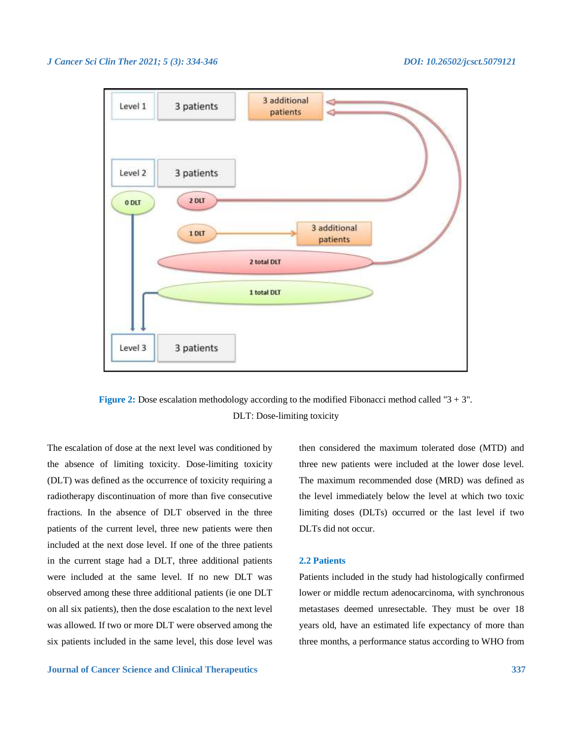

**Figure 2:** Dose escalation methodology according to the modified Fibonacci method called "3 + 3". DLT: Dose-limiting toxicity

The escalation of dose at the next level was conditioned by the absence of limiting toxicity. Dose-limiting toxicity (DLT) was defined as the occurrence of toxicity requiring a radiotherapy discontinuation of more than five consecutive fractions. In the absence of DLT observed in the three patients of the current level, three new patients were then included at the next dose level. If one of the three patients in the current stage had a DLT, three additional patients were included at the same level. If no new DLT was observed among these three additional patients (ie one DLT on all six patients), then the dose escalation to the next level was allowed. If two or more DLT were observed among the six patients included in the same level, this dose level was

**Journal of Cancer Science and Clinical Therapeutics 337**

then considered the maximum tolerated dose (MTD) and three new patients were included at the lower dose level. The maximum recommended dose (MRD) was defined as the level immediately below the level at which two toxic limiting doses (DLTs) occurred or the last level if two DLTs did not occur.

### **2.2 Patients**

Patients included in the study had histologically confirmed lower or middle rectum adenocarcinoma, with synchronous metastases deemed unresectable. They must be over 18 years old, have an estimated life expectancy of more than three months, a performance status according to WHO from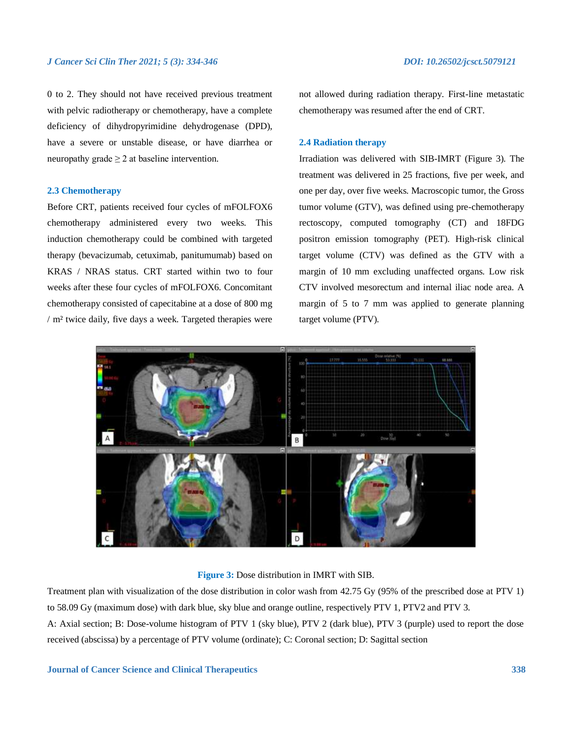0 to 2. They should not have received previous treatment with pelvic radiotherapy or chemotherapy, have a complete deficiency of dihydropyrimidine dehydrogenase (DPD), have a severe or unstable disease, or have diarrhea or neuropathy grade  $\geq 2$  at baseline intervention.

# **2.3 Chemotherapy**

Before CRT, patients received four cycles of mFOLFOX6 chemotherapy administered every two weeks. This induction chemotherapy could be combined with targeted therapy (bevacizumab, cetuximab, panitumumab) based on KRAS / NRAS status. CRT started within two to four weeks after these four cycles of mFOLFOX6. Concomitant chemotherapy consisted of capecitabine at a dose of 800 mg / m² twice daily, five days a week. Targeted therapies were

not allowed during radiation therapy. First-line metastatic chemotherapy was resumed after the end of CRT.

### **2.4 Radiation therapy**

Irradiation was delivered with SIB-IMRT (Figure 3). The treatment was delivered in 25 fractions, five per week, and one per day, over five weeks. Macroscopic tumor, the Gross tumor volume (GTV), was defined using pre-chemotherapy rectoscopy, computed tomography (CT) and 18FDG positron emission tomography (PET). High-risk clinical target volume (CTV) was defined as the GTV with a margin of 10 mm excluding unaffected organs. Low risk CTV involved mesorectum and internal iliac node area. A margin of 5 to 7 mm was applied to generate planning target volume (PTV).



**Figure 3:** Dose distribution in IMRT with SIB.

Treatment plan with visualization of the dose distribution in color wash from 42.75 Gy (95% of the prescribed dose at PTV 1) to 58.09 Gy (maximum dose) with dark blue, sky blue and orange outline, respectively PTV 1, PTV2 and PTV 3. A: Axial section; B: Dose-volume histogram of PTV 1 (sky blue), PTV 2 (dark blue), PTV 3 (purple) used to report the dose

received (abscissa) by a percentage of PTV volume (ordinate); C: Coronal section; D: Sagittal section

**Journal of Cancer Science and Clinical Therapeutics 338**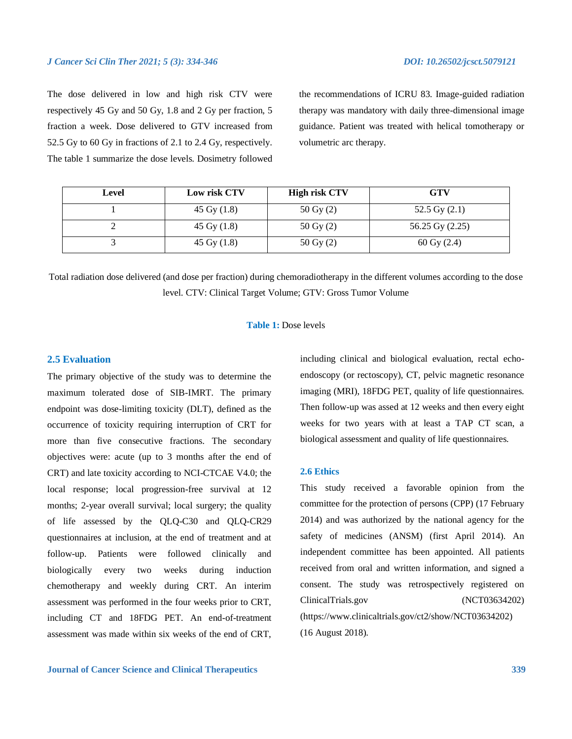The dose delivered in low and high risk CTV were respectively 45 Gy and 50 Gy, 1.8 and 2 Gy per fraction, 5 fraction a week. Dose delivered to GTV increased from 52.5 Gy to 60 Gy in fractions of 2.1 to 2.4 Gy, respectively. The table 1 summarize the dose levels. Dosimetry followed

the recommendations of ICRU 83. Image-guided radiation therapy was mandatory with daily three-dimensional image guidance. Patient was treated with helical tomotherapy or volumetric arc therapy.

| Level | Low risk CTV  | <b>High risk CTV</b>   | <b>GTV</b>               |
|-------|---------------|------------------------|--------------------------|
|       | 45 Gy $(1.8)$ | 50 Gy $(2)$            | 52.5 Gy $(2.1)$          |
|       | 45 Gy $(1.8)$ | $50 \,\mathrm{Gy} (2)$ | 56.25 Gy (2.25)          |
|       | 45 Gy $(1.8)$ | $50 \,\mathrm{Gy} (2)$ | $60 \,\mathrm{Gy} (2.4)$ |

Total radiation dose delivered (and dose per fraction) during chemoradiotherapy in the different volumes according to the dose level. CTV: Clinical Target Volume; GTV: Gross Tumor Volume

### **Table 1:** Dose levels

### **2.5 Evaluation**

The primary objective of the study was to determine the maximum tolerated dose of SIB-IMRT. The primary endpoint was dose-limiting toxicity (DLT), defined as the occurrence of toxicity requiring interruption of CRT for more than five consecutive fractions. The secondary objectives were: acute (up to 3 months after the end of CRT) and late toxicity according to NCI-CTCAE V4.0; the local response; local progression-free survival at 12 months; 2-year overall survival; local surgery; the quality of life assessed by the QLQ-C30 and QLQ-CR29 questionnaires at inclusion, at the end of treatment and at follow-up. Patients were followed clinically and biologically every two weeks during induction chemotherapy and weekly during CRT. An interim assessment was performed in the four weeks prior to CRT, including CT and 18FDG PET. An end-of-treatment assessment was made within six weeks of the end of CRT,

**Journal of Cancer Science and Clinical Therapeutics 339**

including clinical and biological evaluation, rectal echoendoscopy (or rectoscopy), CT, pelvic magnetic resonance imaging (MRI), 18FDG PET, quality of life questionnaires. Then follow-up was assed at 12 weeks and then every eight weeks for two years with at least a TAP CT scan, a biological assessment and quality of life questionnaires.

### **2.6 Ethics**

This study received a favorable opinion from the committee for the protection of persons (CPP) (17 February 2014) and was authorized by the national agency for the safety of medicines (ANSM) (first April 2014). An independent committee has been appointed. All patients received from oral and written information, and signed a consent. The study was retrospectively registered on ClinicalTrials.gov (NCT03634202) (https://www.clinicaltrials.gov/ct2/show/NCT03634202) (16 August 2018).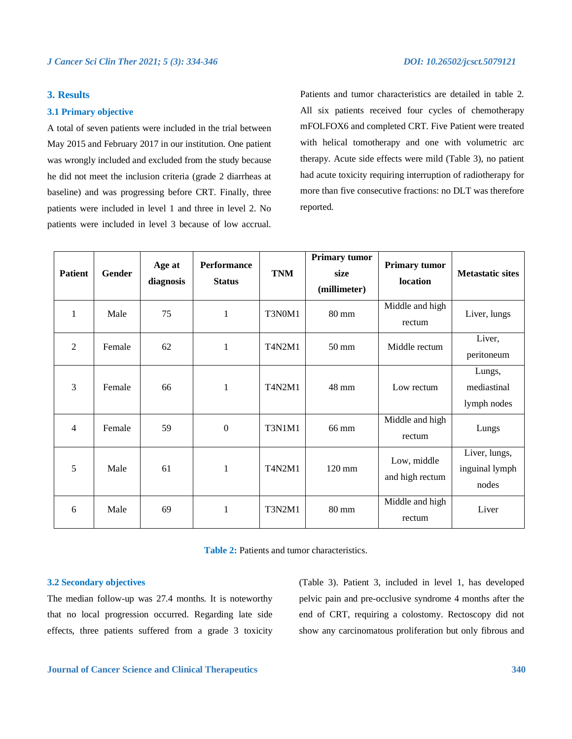# **3. Results**

### **3.1 Primary objective**

A total of seven patients were included in the trial between May 2015 and February 2017 in our institution. One patient was wrongly included and excluded from the study because he did not meet the inclusion criteria (grade 2 diarrheas at baseline) and was progressing before CRT. Finally, three patients were included in level 1 and three in level 2. No patients were included in level 3 because of low accrual. Patients and tumor characteristics are detailed in table 2. All six patients received four cycles of chemotherapy mFOLFOX6 and completed CRT. Five Patient were treated with helical tomotherapy and one with volumetric arc therapy. Acute side effects were mild (Table 3), no patient had acute toxicity requiring interruption of radiotherapy for more than five consecutive fractions: no DLT was therefore reported.

| <b>Patient</b> | <b>Gender</b> | Age at<br>diagnosis | <b>Performance</b><br><b>Status</b> | <b>TNM</b>    | <b>Primary tumor</b><br>size<br>(millimeter) | <b>Primary tumor</b><br>location | <b>Metastatic sites</b>                  |
|----------------|---------------|---------------------|-------------------------------------|---------------|----------------------------------------------|----------------------------------|------------------------------------------|
| $\mathbf{1}$   | Male          | 75                  | 1                                   | T3N0M1        | $80 \text{ mm}$                              | Middle and high<br>rectum        | Liver, lungs                             |
| $\overline{2}$ | Female        | 62                  | $\mathbf{1}$                        | T4N2M1        | $50 \text{ mm}$                              | Middle rectum                    | Liver,<br>peritoneum                     |
| $\overline{3}$ | Female        | 66                  | $\mathbf{1}$                        | T4N2M1        | 48 mm                                        | Low rectum                       | Lungs,<br>mediastinal<br>lymph nodes     |
| $\overline{4}$ | Female        | 59                  | $\boldsymbol{0}$                    | <b>T3N1M1</b> | 66 mm                                        | Middle and high<br>rectum        | Lungs                                    |
| 5              | Male          | 61                  | $\mathbf{1}$                        | <b>T4N2M1</b> | $120 \text{ mm}$                             | Low, middle<br>and high rectum   | Liver, lungs,<br>inguinal lymph<br>nodes |
| 6              | Male          | 69                  | 1                                   | <b>T3N2M1</b> | $80 \text{ mm}$                              | Middle and high<br>rectum        | Liver                                    |

| <b>Table 2:</b> Patients and tumor characteristics. |
|-----------------------------------------------------|
|-----------------------------------------------------|

### **3.2 Secondary objectives**

The median follow-up was 27.4 months. It is noteworthy that no local progression occurred. Regarding late side effects, three patients suffered from a grade 3 toxicity

(Table 3). Patient 3, included in level 1, has developed pelvic pain and pre-occlusive syndrome 4 months after the end of CRT, requiring a colostomy. Rectoscopy did not show any carcinomatous proliferation but only fibrous and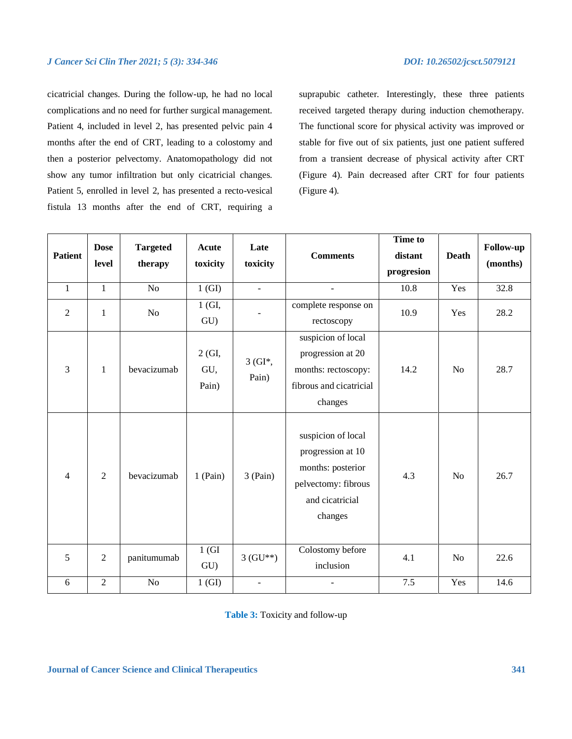cicatricial changes. During the follow-up, he had no local complications and no need for further surgical management. Patient 4, included in level 2, has presented pelvic pain 4 months after the end of CRT, leading to a colostomy and then a posterior pelvectomy. Anatomopathology did not show any tumor infiltration but only cicatricial changes. Patient 5, enrolled in level 2, has presented a recto-vesical fistula 13 months after the end of CRT, requiring a

suprapubic catheter. Interestingly, these three patients received targeted therapy during induction chemotherapy. The functional score for physical activity was improved or stable for five out of six patients, just one patient suffered from a transient decrease of physical activity after CRT (Figure 4). Pain decreased after CRT for four patients (Figure 4).

| <b>Patient</b> | <b>Dose</b><br>level | <b>Targeted</b><br>therapy | Acute<br>toxicity      | Late<br>toxicity  | <b>Comments</b>                                                                                                   | <b>Time to</b><br>distant<br>progresion | <b>Death</b>   | Follow-up<br>(months) |
|----------------|----------------------|----------------------------|------------------------|-------------------|-------------------------------------------------------------------------------------------------------------------|-----------------------------------------|----------------|-----------------------|
| $\mathbf{1}$   | $\mathbf{1}$         | N <sub>o</sub>             | 1(GI)                  | $\mathbb{Z}^2$    | $\overline{a}$                                                                                                    | 10.8                                    | Yes            | 32.8                  |
| $\mathbf{2}$   | $\mathbf{1}$         | No                         | $1$ (GI,<br>GU)        |                   | complete response on<br>rectoscopy                                                                                | 10.9                                    | Yes            | 28.2                  |
| $\overline{3}$ | $\mathbf{1}$         | bevacizumab                | 2 (GI,<br>GU,<br>Pain) | $3(GI*,$<br>Pain) | suspicion of local<br>progression at 20<br>months: rectoscopy:<br>fibrous and cicatricial<br>changes              | 14.2                                    | No             | 28.7                  |
| $\overline{4}$ | $\overline{2}$       | bevacizumab                | $1$ (Pain)             | $3$ (Pain)        | suspicion of local<br>progression at 10<br>months: posterior<br>pelvectomy: fibrous<br>and cicatricial<br>changes | 4.3                                     | N <sub>o</sub> | 26.7                  |
| 5              | $\overline{2}$       | panitumumab                | 1(GI)<br>GU)           | $3(GU**)$         | Colostomy before<br>inclusion                                                                                     | 4.1                                     | N <sub>o</sub> | 22.6                  |
| 6              | $\overline{2}$       | No                         | 1(GI)                  | ÷,                |                                                                                                                   | 7.5                                     | Yes            | 14.6                  |

**Table 3:** Toxicity and follow-up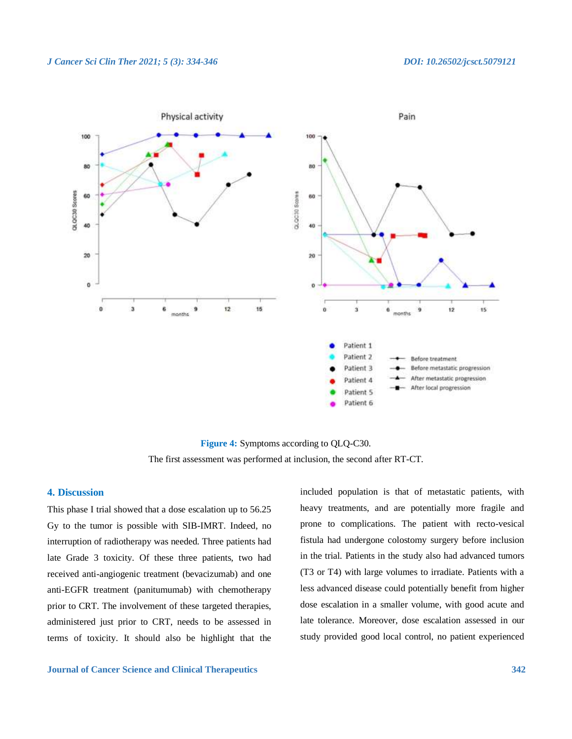

**Figure 4:** Symptoms according to QLQ-C30. The first assessment was performed at inclusion, the second after RT-CT.

# **4. Discussion**

This phase I trial showed that a dose escalation up to 56.25 Gy to the tumor is possible with SIB-IMRT. Indeed, no interruption of radiotherapy was needed. Three patients had late Grade 3 toxicity. Of these three patients, two had received anti-angiogenic treatment (bevacizumab) and one anti-EGFR treatment (panitumumab) with chemotherapy prior to CRT. The involvement of these targeted therapies, administered just prior to CRT, needs to be assessed in terms of toxicity. It should also be highlight that the

**Journal of Cancer Science and Clinical Therapeutics 342**

included population is that of metastatic patients, with heavy treatments, and are potentially more fragile and prone to complications. The patient with recto-vesical fistula had undergone colostomy surgery before inclusion in the trial. Patients in the study also had advanced tumors (T3 or T4) with large volumes to irradiate. Patients with a less advanced disease could potentially benefit from higher dose escalation in a smaller volume, with good acute and late tolerance. Moreover, dose escalation assessed in our study provided good local control, no patient experienced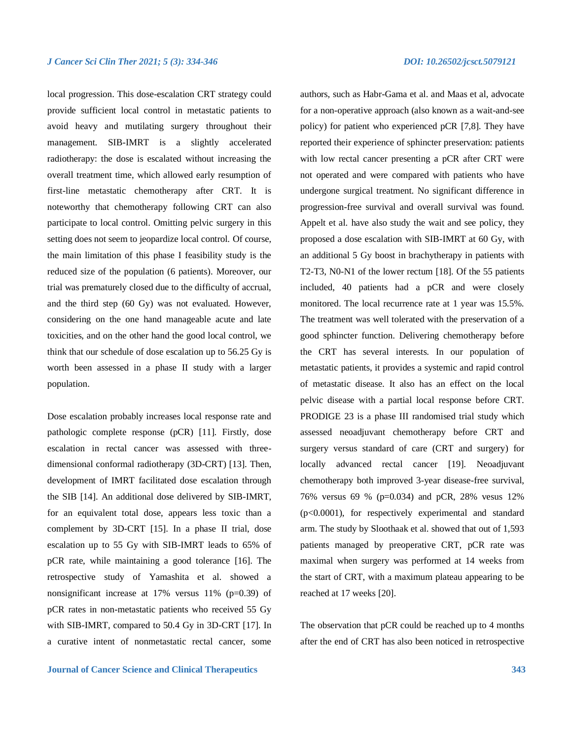local progression. This dose-escalation CRT strategy could provide sufficient local control in metastatic patients to avoid heavy and mutilating surgery throughout their management. SIB-IMRT is a slightly accelerated radiotherapy: the dose is escalated without increasing the overall treatment time, which allowed early resumption of first-line metastatic chemotherapy after CRT. It is noteworthy that chemotherapy following CRT can also participate to local control. Omitting pelvic surgery in this setting does not seem to jeopardize local control. Of course, the main limitation of this phase I feasibility study is the reduced size of the population (6 patients). Moreover, our trial was prematurely closed due to the difficulty of accrual, and the third step (60 Gy) was not evaluated. However, considering on the one hand manageable acute and late toxicities, and on the other hand the good local control, we think that our schedule of dose escalation up to 56.25 Gy is worth been assessed in a phase II study with a larger population.

Dose escalation probably increases local response rate and pathologic complete response (pCR) [11]. Firstly, dose escalation in rectal cancer was assessed with threedimensional conformal radiotherapy (3D-CRT) [13]. Then, development of IMRT facilitated dose escalation through the SIB [14]. An additional dose delivered by SIB-IMRT, for an equivalent total dose, appears less toxic than a complement by 3D-CRT [15]. In a phase II trial, dose escalation up to 55 Gy with SIB-IMRT leads to 65% of pCR rate, while maintaining a good tolerance [16]. The retrospective study of Yamashita et al. showed a nonsignificant increase at 17% versus 11% (p=0.39) of pCR rates in non-metastatic patients who received 55 Gy with SIB-IMRT, compared to 50.4 Gy in 3D-CRT [17]. In a curative intent of nonmetastatic rectal cancer, some

authors, such as Habr-Gama et al. and Maas et al, advocate for a non-operative approach (also known as a wait-and-see policy) for patient who experienced pCR [7,8]. They have reported their experience of sphincter preservation: patients with low rectal cancer presenting a pCR after CRT were not operated and were compared with patients who have undergone surgical treatment. No significant difference in progression-free survival and overall survival was found. Appelt et al. have also study the wait and see policy, they proposed a dose escalation with SIB-IMRT at 60 Gy, with an additional 5 Gy boost in brachytherapy in patients with T2-T3, N0-N1 of the lower rectum [18]. Of the 55 patients included, 40 patients had a pCR and were closely monitored. The local recurrence rate at 1 year was 15.5%. The treatment was well tolerated with the preservation of a good sphincter function. Delivering chemotherapy before the CRT has several interests. In our population of metastatic patients, it provides a systemic and rapid control of metastatic disease. It also has an effect on the local pelvic disease with a partial local response before CRT. PRODIGE 23 is a phase III randomised trial study which assessed neoadjuvant chemotherapy before CRT and surgery versus standard of care (CRT and surgery) for locally advanced rectal cancer [19]. Neoadjuvant chemotherapy both improved 3-year disease-free survival, 76% versus 69 % (p=0.034) and pCR, 28% vesus 12% (p<0.0001), for respectively experimental and standard arm. The study by Sloothaak et al. showed that out of 1,593 patients managed by preoperative CRT, pCR rate was maximal when surgery was performed at 14 weeks from the start of CRT, with a maximum plateau appearing to be reached at 17 weeks [20].

The observation that pCR could be reached up to 4 months after the end of CRT has also been noticed in retrospective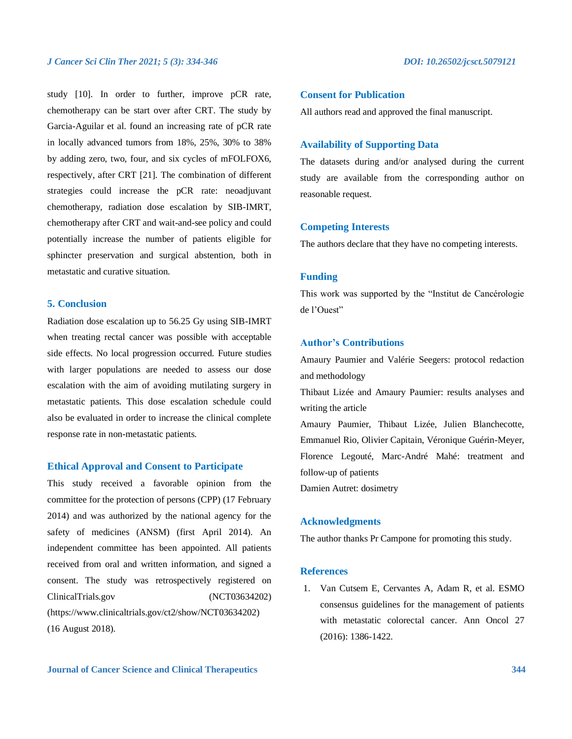study [10]. In order to further, improve pCR rate, chemotherapy can be start over after CRT. The study by Garcia-Aguilar et al. found an increasing rate of pCR rate in locally advanced tumors from 18%, 25%, 30% to 38% by adding zero, two, four, and six cycles of mFOLFOX6, respectively, after CRT [21]. The combination of different strategies could increase the pCR rate: neoadjuvant chemotherapy, radiation dose escalation by SIB-IMRT, chemotherapy after CRT and wait-and-see policy and could potentially increase the number of patients eligible for sphincter preservation and surgical abstention, both in metastatic and curative situation.

# **5. Conclusion**

Radiation dose escalation up to 56.25 Gy using SIB-IMRT when treating rectal cancer was possible with acceptable side effects. No local progression occurred. Future studies with larger populations are needed to assess our dose escalation with the aim of avoiding mutilating surgery in metastatic patients. This dose escalation schedule could also be evaluated in order to increase the clinical complete response rate in non-metastatic patients.

# **Ethical Approval and Consent to Participate**

This study received a favorable opinion from the committee for the protection of persons (CPP) (17 February 2014) and was authorized by the national agency for the safety of medicines (ANSM) (first April 2014). An independent committee has been appointed. All patients received from oral and written information, and signed a consent. The study was retrospectively registered on ClinicalTrials.gov (NCT03634202) (https://www.clinicaltrials.gov/ct2/show/NCT03634202) (16 August 2018).

# **Consent for Publication**

All authors read and approved the final manuscript.

# **Availability of Supporting Data**

The datasets during and/or analysed during the current study are available from the corresponding author on reasonable request.

### **Competing Interests**

The authors declare that they have no competing interests.

# **Funding**

This work was supported by the "Institut de Cancérologie de l'Ouest"

# **Author's Contributions**

Amaury Paumier and Valérie Seegers: protocol redaction and methodology

Thibaut Lizée and Amaury Paumier: results analyses and writing the article

Amaury Paumier, Thibaut Lizée, Julien Blanchecotte, Emmanuel Rio, Olivier Capitain, Véronique Guérin-Meyer, Florence Legouté, Marc-André Mahé: treatment and follow-up of patients

Damien Autret: dosimetry

### **Acknowledgments**

The author thanks Pr Campone for promoting this study.

### **References**

1. Van Cutsem E, Cervantes A, Adam R, et al. ESMO consensus guidelines for the management of patients with metastatic colorectal cancer. Ann Oncol 27 (2016): 1386-1422.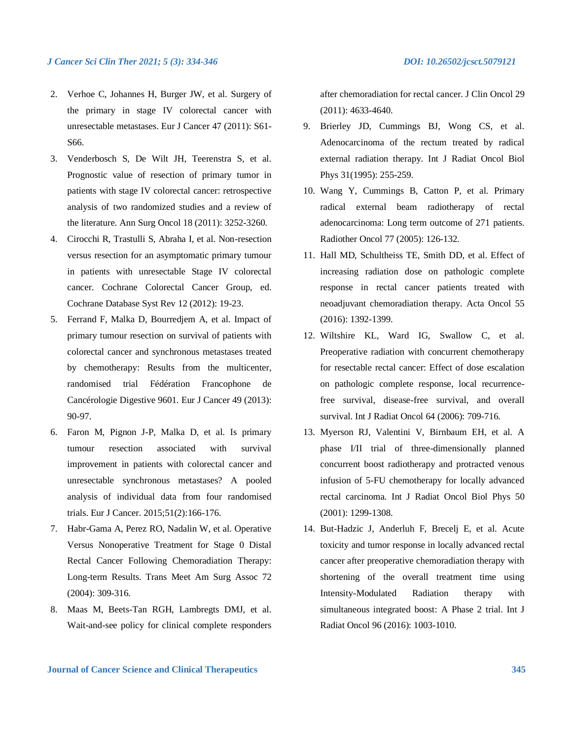- 2. Verhoe C, Johannes H, Burger JW, et al. Surgery of the primary in stage IV colorectal cancer with unresectable metastases. Eur J Cancer 47 (2011): S61- S66.
- 3. Venderbosch S, De Wilt JH, Teerenstra S, et al. Prognostic value of resection of primary tumor in patients with stage IV colorectal cancer: retrospective analysis of two randomized studies and a review of the literature. Ann Surg Oncol 18 (2011): 3252-3260.
- 4. Cirocchi R, Trastulli S, Abraha I, et al. Non-resection versus resection for an asymptomatic primary tumour in patients with unresectable Stage IV colorectal cancer. Cochrane Colorectal Cancer Group, ed. Cochrane Database Syst Rev 12 (2012): 19-23.
- 5. Ferrand F, Malka D, Bourredjem A, et al. Impact of primary tumour resection on survival of patients with colorectal cancer and synchronous metastases treated by chemotherapy: Results from the multicenter, randomised trial Fédération Francophone de Cancérologie Digestive 9601. Eur J Cancer 49 (2013): 90-97.
- 6. Faron M, Pignon J-P, Malka D, et al. Is primary tumour resection associated with survival improvement in patients with colorectal cancer and unresectable synchronous metastases? A pooled analysis of individual data from four randomised trials. Eur J Cancer. 2015;51(2):166-176.
- 7. Habr-Gama A, Perez RO, Nadalin W, et al. Operative Versus Nonoperative Treatment for Stage 0 Distal Rectal Cancer Following Chemoradiation Therapy: Long-term Results. Trans Meet Am Surg Assoc 72 (2004): 309-316.
- 8. Maas M, Beets-Tan RGH, Lambregts DMJ, et al. Wait-and-see policy for clinical complete responders

after chemoradiation for rectal cancer. J Clin Oncol 29 (2011): 4633-4640.

- 9. Brierley JD, Cummings BJ, Wong CS, et al. Adenocarcinoma of the rectum treated by radical external radiation therapy. Int J Radiat Oncol Biol Phys 31(1995): 255-259.
- 10. Wang Y, Cummings B, Catton P, et al. Primary radical external beam radiotherapy of rectal adenocarcinoma: Long term outcome of 271 patients. Radiother Oncol 77 (2005): 126-132.
- 11. Hall MD, Schultheiss TE, Smith DD, et al. Effect of increasing radiation dose on pathologic complete response in rectal cancer patients treated with neoadjuvant chemoradiation therapy. Acta Oncol 55 (2016): 1392-1399.
- 12. Wiltshire KL, Ward IG, Swallow C, et al. Preoperative radiation with concurrent chemotherapy for resectable rectal cancer: Effect of dose escalation on pathologic complete response, local recurrencefree survival, disease-free survival, and overall survival. Int J Radiat Oncol 64 (2006): 709-716.
- 13. Myerson RJ, Valentini V, Birnbaum EH, et al. A phase I/II trial of three-dimensionally planned concurrent boost radiotherapy and protracted venous infusion of 5-FU chemotherapy for locally advanced rectal carcinoma. Int J Radiat Oncol Biol Phys 50 (2001): 1299-1308.
- 14. But-Hadzic J, Anderluh F, Brecelj E, et al. Acute toxicity and tumor response in locally advanced rectal cancer after preoperative chemoradiation therapy with shortening of the overall treatment time using Intensity-Modulated Radiation therapy with simultaneous integrated boost: A Phase 2 trial. Int J Radiat Oncol 96 (2016): 1003-1010.